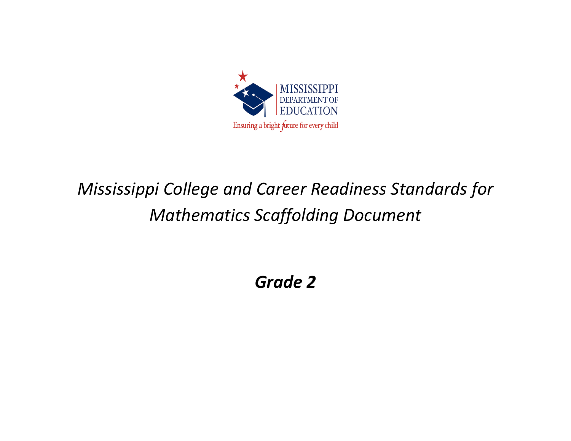

## *Mississippi College and Career Readiness Standards for Mathematics Scaffolding Document*

*Grade 2*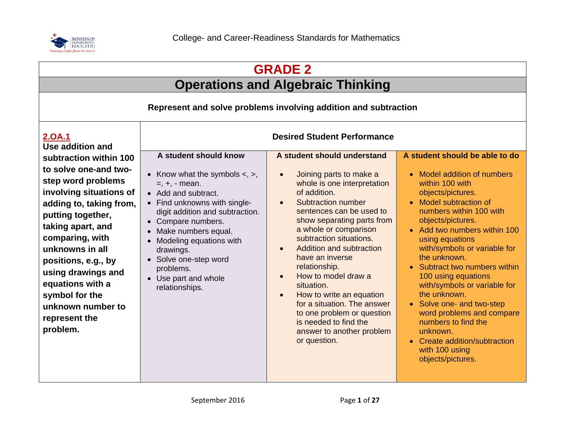

| <b>GRADE 2</b>                                                                                                                                                                                                                                                                                                                                   |                                                                                                                                                                                                                                                                                                                                                      |                                                                                                                                                                                                                                                                                                                                                                                                                                                                                                                                                                                |                                                                                                                                                                                                                                                                                                                                                                                                                                                                                                                                                               |
|--------------------------------------------------------------------------------------------------------------------------------------------------------------------------------------------------------------------------------------------------------------------------------------------------------------------------------------------------|------------------------------------------------------------------------------------------------------------------------------------------------------------------------------------------------------------------------------------------------------------------------------------------------------------------------------------------------------|--------------------------------------------------------------------------------------------------------------------------------------------------------------------------------------------------------------------------------------------------------------------------------------------------------------------------------------------------------------------------------------------------------------------------------------------------------------------------------------------------------------------------------------------------------------------------------|---------------------------------------------------------------------------------------------------------------------------------------------------------------------------------------------------------------------------------------------------------------------------------------------------------------------------------------------------------------------------------------------------------------------------------------------------------------------------------------------------------------------------------------------------------------|
| <b>Operations and Algebraic Thinking</b>                                                                                                                                                                                                                                                                                                         |                                                                                                                                                                                                                                                                                                                                                      |                                                                                                                                                                                                                                                                                                                                                                                                                                                                                                                                                                                |                                                                                                                                                                                                                                                                                                                                                                                                                                                                                                                                                               |
| Represent and solve problems involving addition and subtraction                                                                                                                                                                                                                                                                                  |                                                                                                                                                                                                                                                                                                                                                      |                                                                                                                                                                                                                                                                                                                                                                                                                                                                                                                                                                                |                                                                                                                                                                                                                                                                                                                                                                                                                                                                                                                                                               |
| <u>2.0A.1</u><br>Use addition and                                                                                                                                                                                                                                                                                                                |                                                                                                                                                                                                                                                                                                                                                      | <b>Desired Student Performance</b>                                                                                                                                                                                                                                                                                                                                                                                                                                                                                                                                             |                                                                                                                                                                                                                                                                                                                                                                                                                                                                                                                                                               |
| subtraction within 100<br>to solve one-and two-<br>step word problems<br>involving situations of<br>adding to, taking from,<br>putting together,<br>taking apart, and<br>comparing, with<br>unknowns in all<br>positions, e.g., by<br>using drawings and<br>equations with a<br>symbol for the<br>unknown number to<br>represent the<br>problem. | A student should know<br>• Know what the symbols $\lt$ , $\gt$ ,<br>$=, +, -$ mean.<br>• Add and subtract.<br>• Find unknowns with single-<br>digit addition and subtraction.<br>• Compare numbers.<br>• Make numbers equal.<br>Modeling equations with<br>drawings.<br>• Solve one-step word<br>problems.<br>• Use part and whole<br>relationships. | A student should understand<br>Joining parts to make a<br>$\bullet$<br>whole is one interpretation<br>of addition.<br>Subtraction number<br>$\bullet$<br>sentences can be used to<br>show separating parts from<br>a whole or comparison<br>subtraction situations.<br>Addition and subtraction<br>$\bullet$<br>have an inverse<br>relationship.<br>How to model draw a<br>$\bullet$<br>situation.<br>How to write an equation<br>$\bullet$<br>for a situation. The answer<br>to one problem or question<br>is needed to find the<br>answer to another problem<br>or question. | A student should be able to do<br>• Model addition of numbers<br>within 100 with<br>objects/pictures.<br>• Model subtraction of<br>numbers within 100 with<br>objects/pictures.<br>• Add two numbers within 100<br>using equations<br>with/symbols or variable for<br>the unknown.<br>Subtract two numbers within<br>100 using equations<br>with/symbols or variable for<br>the unknown.<br>• Solve one- and two-step<br>word problems and compare<br>numbers to find the<br>unknown.<br>• Create addition/subtraction<br>with 100 using<br>objects/pictures. |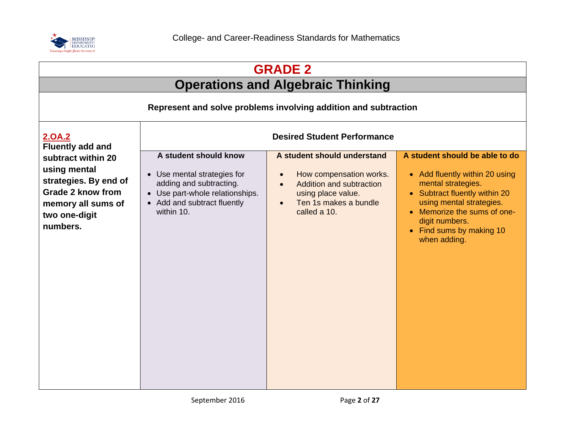

| <b>GRADE 2</b>                                                                                                                             |                                                                                                                                                                 |                                                                                                                                                                                                 |                                                                                                                                                                                                                                                  |
|--------------------------------------------------------------------------------------------------------------------------------------------|-----------------------------------------------------------------------------------------------------------------------------------------------------------------|-------------------------------------------------------------------------------------------------------------------------------------------------------------------------------------------------|--------------------------------------------------------------------------------------------------------------------------------------------------------------------------------------------------------------------------------------------------|
| <b>Operations and Algebraic Thinking</b>                                                                                                   |                                                                                                                                                                 |                                                                                                                                                                                                 |                                                                                                                                                                                                                                                  |
| Represent and solve problems involving addition and subtraction                                                                            |                                                                                                                                                                 |                                                                                                                                                                                                 |                                                                                                                                                                                                                                                  |
| 2.0A.2<br><b>Fluently add and</b>                                                                                                          |                                                                                                                                                                 | <b>Desired Student Performance</b>                                                                                                                                                              |                                                                                                                                                                                                                                                  |
| subtract within 20<br>using mental<br>strategies. By end of<br><b>Grade 2 know from</b><br>memory all sums of<br>two one-digit<br>numbers. | A student should know<br>• Use mental strategies for<br>adding and subtracting.<br>• Use part-whole relationships.<br>• Add and subtract fluently<br>within 10. | A student should understand<br>How compensation works.<br>$\bullet$<br><b>Addition and subtraction</b><br>$\bullet$<br>using place value.<br>Ten 1s makes a bundle<br>$\bullet$<br>called a 10. | A student should be able to do<br>• Add fluently within 20 using<br>mental strategies.<br>• Subtract fluently within 20<br>using mental strategies.<br>• Memorize the sums of one-<br>digit numbers.<br>• Find sums by making 10<br>when adding. |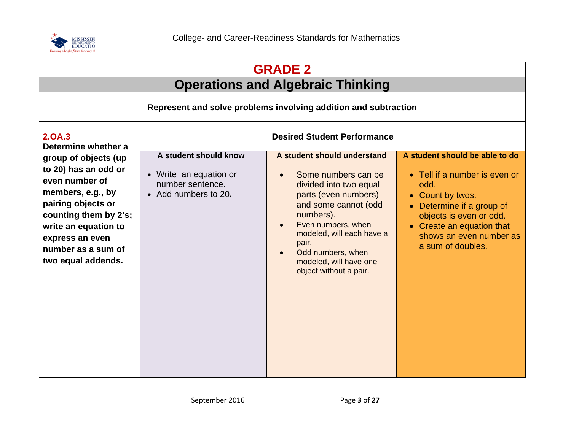

| <b>GRADE 2</b>                                                                                                                                                                                                            |                                                                                             |                                                                                                                                                                                                                                                                                                                       |                                                                                                                                                                                                                                |
|---------------------------------------------------------------------------------------------------------------------------------------------------------------------------------------------------------------------------|---------------------------------------------------------------------------------------------|-----------------------------------------------------------------------------------------------------------------------------------------------------------------------------------------------------------------------------------------------------------------------------------------------------------------------|--------------------------------------------------------------------------------------------------------------------------------------------------------------------------------------------------------------------------------|
|                                                                                                                                                                                                                           |                                                                                             | <b>Operations and Algebraic Thinking</b>                                                                                                                                                                                                                                                                              |                                                                                                                                                                                                                                |
|                                                                                                                                                                                                                           |                                                                                             | Represent and solve problems involving addition and subtraction                                                                                                                                                                                                                                                       |                                                                                                                                                                                                                                |
| <b>Desired Student Performance</b><br>2.0A.3<br>Determine whether a                                                                                                                                                       |                                                                                             |                                                                                                                                                                                                                                                                                                                       |                                                                                                                                                                                                                                |
| group of objects (up<br>to 20) has an odd or<br>even number of<br>members, e.g., by<br>pairing objects or<br>counting them by 2's;<br>write an equation to<br>express an even<br>number as a sum of<br>two equal addends. | A student should know<br>• Write an equation or<br>number sentence.<br>• Add numbers to 20. | A student should understand<br>Some numbers can be<br>$\bullet$<br>divided into two equal<br>parts (even numbers)<br>and some cannot (odd<br>numbers).<br>Even numbers, when<br>$\bullet$<br>modeled, will each have a<br>pair.<br>Odd numbers, when<br>$\bullet$<br>modeled, will have one<br>object without a pair. | A student should be able to do<br>• Tell if a number is even or<br>odd.<br>• Count by twos.<br>Determine if a group of<br>objects is even or odd.<br>• Create an equation that<br>shows an even number as<br>a sum of doubles. |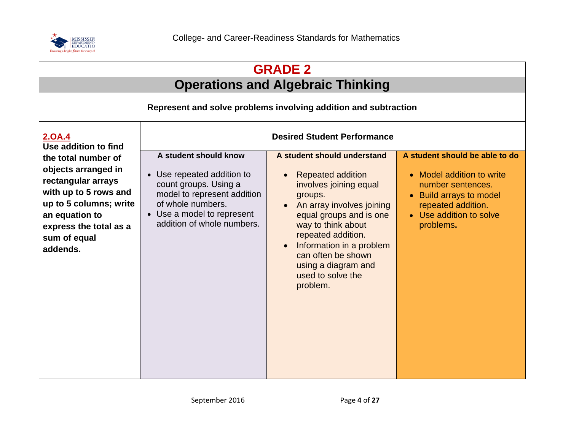

| <b>GRADE 2</b>                                                                                                                                                                              |                                                                                                                                                                                              |                                                                                                                                                                                                                                                                                                            |                                                                                                                                                                           |  |
|---------------------------------------------------------------------------------------------------------------------------------------------------------------------------------------------|----------------------------------------------------------------------------------------------------------------------------------------------------------------------------------------------|------------------------------------------------------------------------------------------------------------------------------------------------------------------------------------------------------------------------------------------------------------------------------------------------------------|---------------------------------------------------------------------------------------------------------------------------------------------------------------------------|--|
|                                                                                                                                                                                             | <b>Operations and Algebraic Thinking</b>                                                                                                                                                     |                                                                                                                                                                                                                                                                                                            |                                                                                                                                                                           |  |
|                                                                                                                                                                                             | Represent and solve problems involving addition and subtraction                                                                                                                              |                                                                                                                                                                                                                                                                                                            |                                                                                                                                                                           |  |
| <b>2.0A.4</b><br>Use addition to find                                                                                                                                                       |                                                                                                                                                                                              | <b>Desired Student Performance</b>                                                                                                                                                                                                                                                                         |                                                                                                                                                                           |  |
| the total number of<br>objects arranged in<br>rectangular arrays<br>with up to 5 rows and<br>up to 5 columns; write<br>an equation to<br>express the total as a<br>sum of equal<br>addends. | A student should know<br>• Use repeated addition to<br>count groups. Using a<br>model to represent addition<br>of whole numbers.<br>• Use a model to represent<br>addition of whole numbers. | A student should understand<br><b>Repeated addition</b><br>involves joining equal<br>groups.<br>An array involves joining<br>equal groups and is one<br>way to think about<br>repeated addition.<br>Information in a problem<br>can often be shown<br>using a diagram and<br>used to solve the<br>problem. | A student should be able to do<br>• Model addition to write<br>number sentences.<br>• Build arrays to model<br>repeated addition.<br>• Use addition to solve<br>problems. |  |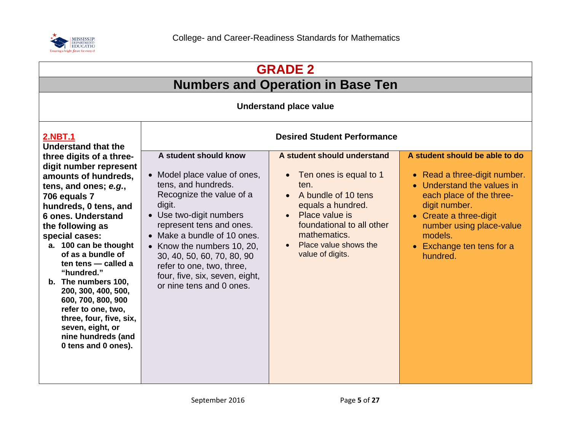

| <b>GRADE 2</b>                                                                                                                                                                                                                                                                                                                                                                                                                                                                    |                                                                                                                                                                                                                                                                                                                                                             |                                                                                                                                                                                                                                                              |                                                                                                                                                                                                                                                     |  |
|-----------------------------------------------------------------------------------------------------------------------------------------------------------------------------------------------------------------------------------------------------------------------------------------------------------------------------------------------------------------------------------------------------------------------------------------------------------------------------------|-------------------------------------------------------------------------------------------------------------------------------------------------------------------------------------------------------------------------------------------------------------------------------------------------------------------------------------------------------------|--------------------------------------------------------------------------------------------------------------------------------------------------------------------------------------------------------------------------------------------------------------|-----------------------------------------------------------------------------------------------------------------------------------------------------------------------------------------------------------------------------------------------------|--|
|                                                                                                                                                                                                                                                                                                                                                                                                                                                                                   | <b>Numbers and Operation in Base Ten</b>                                                                                                                                                                                                                                                                                                                    |                                                                                                                                                                                                                                                              |                                                                                                                                                                                                                                                     |  |
| <b>Understand place value</b>                                                                                                                                                                                                                                                                                                                                                                                                                                                     |                                                                                                                                                                                                                                                                                                                                                             |                                                                                                                                                                                                                                                              |                                                                                                                                                                                                                                                     |  |
| <b>2.NBT.1</b><br><b>Understand that the</b>                                                                                                                                                                                                                                                                                                                                                                                                                                      |                                                                                                                                                                                                                                                                                                                                                             | <b>Desired Student Performance</b>                                                                                                                                                                                                                           |                                                                                                                                                                                                                                                     |  |
| three digits of a three-<br>digit number represent<br>amounts of hundreds,<br>tens, and ones; e.g.,<br>706 equals 7<br>hundreds, 0 tens, and<br>6 ones. Understand<br>the following as<br>special cases:<br>a. 100 can be thought<br>of as a bundle of<br>ten tens - called a<br>"hundred."<br>b. The numbers 100,<br>200, 300, 400, 500,<br>600, 700, 800, 900<br>refer to one, two,<br>three, four, five, six,<br>seven, eight, or<br>nine hundreds (and<br>0 tens and 0 ones). | A student should know<br>• Model place value of ones,<br>tens, and hundreds.<br>Recognize the value of a<br>digit.<br>• Use two-digit numbers<br>represent tens and ones.<br>Make a bundle of 10 ones.<br>Know the numbers 10, 20,<br>30, 40, 50, 60, 70, 80, 90<br>refer to one, two, three,<br>four, five, six, seven, eight,<br>or nine tens and 0 ones. | A student should understand<br>Ten ones is equal to 1<br>$\bullet$<br>ten.<br>A bundle of 10 tens<br>equals a hundred.<br>Place value is<br>$\bullet$<br>foundational to all other<br>mathematics.<br>Place value shows the<br>$\bullet$<br>value of digits. | A student should be able to do<br>• Read a three-digit number.<br>• Understand the values in<br>each place of the three-<br>digit number.<br>• Create a three-digit<br>number using place-value<br>models.<br>• Exchange ten tens for a<br>hundred. |  |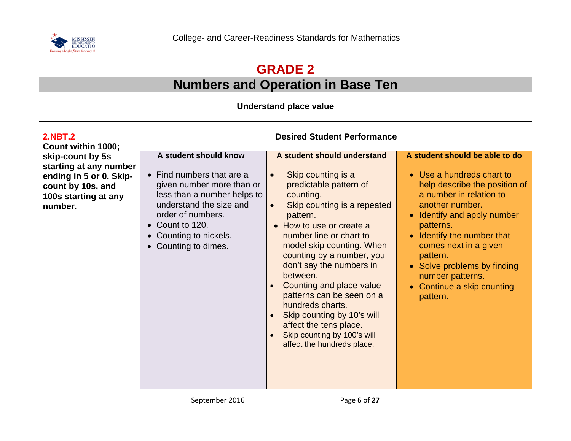

| <b>GRADE 2</b>                                                                                                                |                                                                                                                                                                                                                                                     |                                                                                                                                                                                                                                                                                                                                                                                                                                                                                                                                                    |                                                                                                                                                                                                                                                                                                                                                      |  |
|-------------------------------------------------------------------------------------------------------------------------------|-----------------------------------------------------------------------------------------------------------------------------------------------------------------------------------------------------------------------------------------------------|----------------------------------------------------------------------------------------------------------------------------------------------------------------------------------------------------------------------------------------------------------------------------------------------------------------------------------------------------------------------------------------------------------------------------------------------------------------------------------------------------------------------------------------------------|------------------------------------------------------------------------------------------------------------------------------------------------------------------------------------------------------------------------------------------------------------------------------------------------------------------------------------------------------|--|
|                                                                                                                               | <b>Numbers and Operation in Base Ten</b>                                                                                                                                                                                                            |                                                                                                                                                                                                                                                                                                                                                                                                                                                                                                                                                    |                                                                                                                                                                                                                                                                                                                                                      |  |
|                                                                                                                               | <b>Understand place value</b>                                                                                                                                                                                                                       |                                                                                                                                                                                                                                                                                                                                                                                                                                                                                                                                                    |                                                                                                                                                                                                                                                                                                                                                      |  |
| <b>2.NBT.2</b><br>Count within 1000;                                                                                          | <b>Desired Student Performance</b>                                                                                                                                                                                                                  |                                                                                                                                                                                                                                                                                                                                                                                                                                                                                                                                                    |                                                                                                                                                                                                                                                                                                                                                      |  |
| skip-count by 5s<br>starting at any number<br>ending in 5 or 0. Skip-<br>count by 10s, and<br>100s starting at any<br>number. | A student should know<br>$\bullet$ Find numbers that are a<br>given number more than or<br>less than a number helps to<br>understand the size and<br>order of numbers.<br>$\bullet$ Count to 120.<br>• Counting to nickels.<br>• Counting to dimes. | A student should understand<br>Skip counting is a<br>$\bullet$<br>predictable pattern of<br>counting.<br>Skip counting is a repeated<br>$\bullet$<br>pattern.<br>• How to use or create a<br>number line or chart to<br>model skip counting. When<br>counting by a number, you<br>don't say the numbers in<br>between.<br>Counting and place-value<br>$\bullet$<br>patterns can be seen on a<br>hundreds charts.<br>Skip counting by 10's will<br>affect the tens place.<br>Skip counting by 100's will<br>$\bullet$<br>affect the hundreds place. | A student should be able to do<br>• Use a hundreds chart to<br>help describe the position of<br>a number in relation to<br>another number.<br>• Identify and apply number<br>patterns.<br>Identify the number that<br>comes next in a given<br>pattern.<br>• Solve problems by finding<br>number patterns.<br>• Continue a skip counting<br>pattern. |  |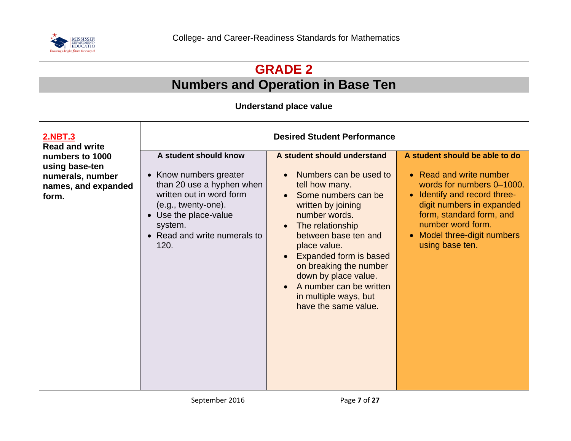

| <b>GRADE 2</b>                                                                        |                                                                                                                                                                                                               |                                                                                                                                                                                                                                                                                                                                                                  |                                                                                                                                                                                                                                                        |
|---------------------------------------------------------------------------------------|---------------------------------------------------------------------------------------------------------------------------------------------------------------------------------------------------------------|------------------------------------------------------------------------------------------------------------------------------------------------------------------------------------------------------------------------------------------------------------------------------------------------------------------------------------------------------------------|--------------------------------------------------------------------------------------------------------------------------------------------------------------------------------------------------------------------------------------------------------|
|                                                                                       |                                                                                                                                                                                                               | <b>Numbers and Operation in Base Ten</b>                                                                                                                                                                                                                                                                                                                         |                                                                                                                                                                                                                                                        |
|                                                                                       |                                                                                                                                                                                                               | <b>Understand place value</b>                                                                                                                                                                                                                                                                                                                                    |                                                                                                                                                                                                                                                        |
| <b>2.NBT.3</b><br><b>Read and write</b>                                               | <b>Desired Student Performance</b>                                                                                                                                                                            |                                                                                                                                                                                                                                                                                                                                                                  |                                                                                                                                                                                                                                                        |
| numbers to 1000<br>using base-ten<br>numerals, number<br>names, and expanded<br>form. | A student should know<br>• Know numbers greater<br>than 20 use a hyphen when<br>written out in word form<br>$(e.g., twenty-one).$<br>• Use the place-value<br>system.<br>• Read and write numerals to<br>120. | A student should understand<br>Numbers can be used to<br>tell how many.<br>Some numbers can be<br>written by joining<br>number words.<br>The relationship<br>between base ten and<br>place value.<br><b>Expanded form is based</b><br>on breaking the number<br>down by place value.<br>A number can be written<br>in multiple ways, but<br>have the same value. | A student should be able to do<br>• Read and write number<br>words for numbers 0-1000.<br>• Identify and record three-<br>digit numbers in expanded<br>form, standard form, and<br>number word form.<br>• Model three-digit numbers<br>using base ten. |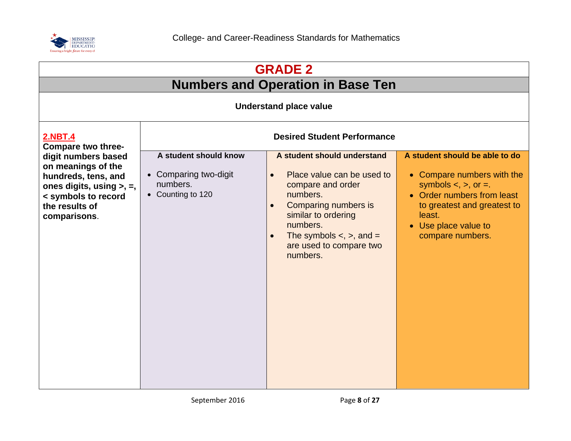

| <b>GRADE 2</b>                                                                                                                                              |                                                                                 |                                                                                                                                                                                                                                                                            |                                                                                                                                                                                                                          |
|-------------------------------------------------------------------------------------------------------------------------------------------------------------|---------------------------------------------------------------------------------|----------------------------------------------------------------------------------------------------------------------------------------------------------------------------------------------------------------------------------------------------------------------------|--------------------------------------------------------------------------------------------------------------------------------------------------------------------------------------------------------------------------|
|                                                                                                                                                             |                                                                                 | <b>Numbers and Operation in Base Ten</b>                                                                                                                                                                                                                                   |                                                                                                                                                                                                                          |
|                                                                                                                                                             |                                                                                 | <b>Understand place value</b>                                                                                                                                                                                                                                              |                                                                                                                                                                                                                          |
| <b>2.NBT.4</b><br>Compare two three-                                                                                                                        | <b>Desired Student Performance</b>                                              |                                                                                                                                                                                                                                                                            |                                                                                                                                                                                                                          |
| digit numbers based<br>on meanings of the<br>hundreds, tens, and<br>ones digits, using $>$ , $=$ ,<br>< symbols to record<br>the results of<br>comparisons. | A student should know<br>• Comparing two-digit<br>numbers.<br>• Counting to 120 | A student should understand<br>Place value can be used to<br>$\bullet$<br>compare and order<br>numbers.<br>Comparing numbers is<br>$\bullet$<br>similar to ordering<br>numbers.<br>The symbols $\lt$ , $\gt$ , and $=$<br>$\bullet$<br>are used to compare two<br>numbers. | A student should be able to do<br>• Compare numbers with the<br>symbols $\lt$ , $\gt$ , or $\equiv$ .<br>• Order numbers from least<br>to greatest and greatest to<br>least.<br>• Use place value to<br>compare numbers. |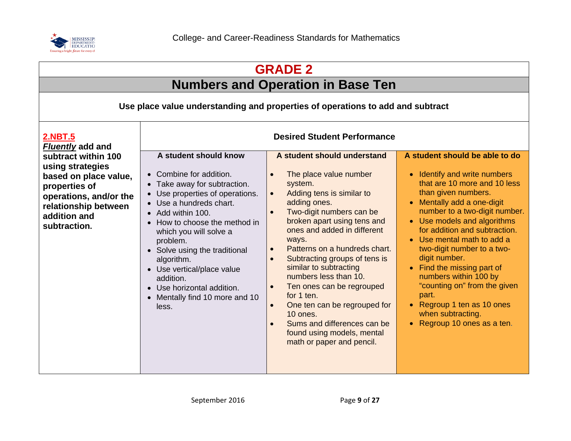

| <b>GRADE 2</b>                                                                                                                                                      |                                                                                                                                                                                                                                                                                                                                                                                                               |                                                                                                                                                                                                                                                                                                                                                                                                                                                                                                                                                                                                                                |                                                                                                                                                                                                                                                                                                                                                                                                                                                                                                                     |
|---------------------------------------------------------------------------------------------------------------------------------------------------------------------|---------------------------------------------------------------------------------------------------------------------------------------------------------------------------------------------------------------------------------------------------------------------------------------------------------------------------------------------------------------------------------------------------------------|--------------------------------------------------------------------------------------------------------------------------------------------------------------------------------------------------------------------------------------------------------------------------------------------------------------------------------------------------------------------------------------------------------------------------------------------------------------------------------------------------------------------------------------------------------------------------------------------------------------------------------|---------------------------------------------------------------------------------------------------------------------------------------------------------------------------------------------------------------------------------------------------------------------------------------------------------------------------------------------------------------------------------------------------------------------------------------------------------------------------------------------------------------------|
|                                                                                                                                                                     |                                                                                                                                                                                                                                                                                                                                                                                                               | <b>Numbers and Operation in Base Ten</b>                                                                                                                                                                                                                                                                                                                                                                                                                                                                                                                                                                                       |                                                                                                                                                                                                                                                                                                                                                                                                                                                                                                                     |
|                                                                                                                                                                     |                                                                                                                                                                                                                                                                                                                                                                                                               | Use place value understanding and properties of operations to add and subtract                                                                                                                                                                                                                                                                                                                                                                                                                                                                                                                                                 |                                                                                                                                                                                                                                                                                                                                                                                                                                                                                                                     |
| <b>2.NBT.5</b><br><b>Fluently add and</b>                                                                                                                           |                                                                                                                                                                                                                                                                                                                                                                                                               | <b>Desired Student Performance</b>                                                                                                                                                                                                                                                                                                                                                                                                                                                                                                                                                                                             |                                                                                                                                                                                                                                                                                                                                                                                                                                                                                                                     |
| subtract within 100<br>using strategies<br>based on place value,<br>properties of<br>operations, and/or the<br>relationship between<br>addition and<br>subtraction. | A student should know<br>• Combine for addition.<br>• Take away for subtraction.<br>• Use properties of operations.<br>• Use a hundreds chart.<br>• Add within 100.<br>• How to choose the method in<br>which you will solve a<br>problem.<br>• Solve using the traditional<br>algorithm.<br>• Use vertical/place value<br>addition.<br>• Use horizontal addition.<br>• Mentally find 10 more and 10<br>less. | A student should understand<br>The place value number<br>$\bullet$<br>system.<br>Adding tens is similar to<br>$\bullet$<br>adding ones.<br>Two-digit numbers can be<br>$\bullet$<br>broken apart using tens and<br>ones and added in different<br>ways.<br>Patterns on a hundreds chart.<br>$\bullet$<br>Subtracting groups of tens is<br>$\bullet$<br>similar to subtracting<br>numbers less than 10.<br>Ten ones can be regrouped<br>$\bullet$<br>for 1 ten.<br>One ten can be regrouped for<br>$\bullet$<br>10 ones.<br>Sums and differences can be<br>$\bullet$<br>found using models, mental<br>math or paper and pencil. | A student should be able to do<br>• Identify and write numbers<br>that are 10 more and 10 less<br>than given numbers.<br>• Mentally add a one-digit<br>number to a two-digit number.<br>• Use models and algorithms<br>for addition and subtraction.<br>• Use mental math to add a<br>two-digit number to a two-<br>digit number.<br>• Find the missing part of<br>numbers within 100 by<br>"counting on" from the given<br>part.<br>• Regroup 1 ten as 10 ones<br>when subtracting.<br>• Regroup 10 ones as a ten. |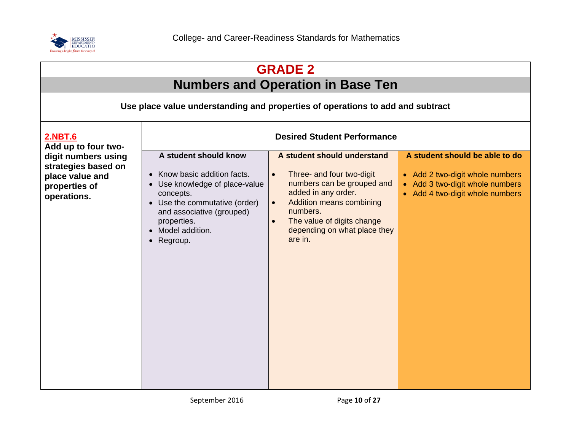

| <b>GRADE 2</b>                                                                                |                                                                                                                                                                                                                      |                                                                                                                                                                                                                                                                              |                                                                                                                                                    |
|-----------------------------------------------------------------------------------------------|----------------------------------------------------------------------------------------------------------------------------------------------------------------------------------------------------------------------|------------------------------------------------------------------------------------------------------------------------------------------------------------------------------------------------------------------------------------------------------------------------------|----------------------------------------------------------------------------------------------------------------------------------------------------|
|                                                                                               |                                                                                                                                                                                                                      | <b>Numbers and Operation in Base Ten</b>                                                                                                                                                                                                                                     |                                                                                                                                                    |
|                                                                                               |                                                                                                                                                                                                                      | Use place value understanding and properties of operations to add and subtract                                                                                                                                                                                               |                                                                                                                                                    |
| <b>2.NBT.6</b><br>Add up to four two-                                                         | <b>Desired Student Performance</b>                                                                                                                                                                                   |                                                                                                                                                                                                                                                                              |                                                                                                                                                    |
| digit numbers using<br>strategies based on<br>place value and<br>properties of<br>operations. | A student should know<br>• Know basic addition facts.<br>• Use knowledge of place-value<br>concepts.<br>• Use the commutative (order)<br>and associative (grouped)<br>properties.<br>• Model addition.<br>• Regroup. | A student should understand<br>Three- and four two-digit<br>$\bullet$<br>numbers can be grouped and<br>added in any order.<br><b>Addition means combining</b><br>$\bullet$<br>numbers.<br>The value of digits change<br>$\bullet$<br>depending on what place they<br>are in. | A student should be able to do<br>• Add 2 two-digit whole numbers<br>Add 3 two-digit whole numbers<br>$\bullet$<br>• Add 4 two-digit whole numbers |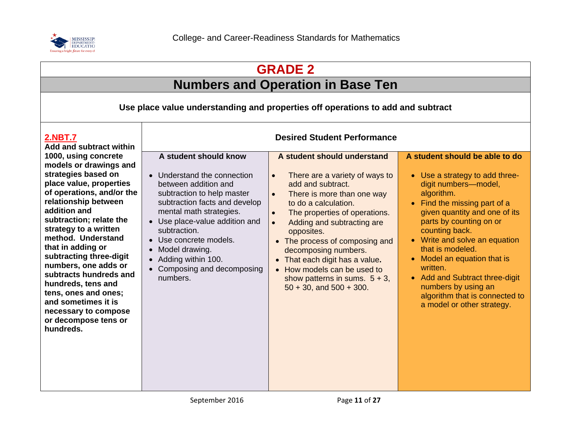

| <b>GRADE 2</b>                                                                                                                                                                                                                                                                                                                                                                                                                                                                                                                   |                                                                                                                                                                                                                                                                                                                                                                          |                                                                                                                                                                                                                                                                                                                                                                                                                                                                                       |                                                                                                                                                                                                                                                                                                                                                                                                                                             |
|----------------------------------------------------------------------------------------------------------------------------------------------------------------------------------------------------------------------------------------------------------------------------------------------------------------------------------------------------------------------------------------------------------------------------------------------------------------------------------------------------------------------------------|--------------------------------------------------------------------------------------------------------------------------------------------------------------------------------------------------------------------------------------------------------------------------------------------------------------------------------------------------------------------------|---------------------------------------------------------------------------------------------------------------------------------------------------------------------------------------------------------------------------------------------------------------------------------------------------------------------------------------------------------------------------------------------------------------------------------------------------------------------------------------|---------------------------------------------------------------------------------------------------------------------------------------------------------------------------------------------------------------------------------------------------------------------------------------------------------------------------------------------------------------------------------------------------------------------------------------------|
| <b>Numbers and Operation in Base Ten</b>                                                                                                                                                                                                                                                                                                                                                                                                                                                                                         |                                                                                                                                                                                                                                                                                                                                                                          |                                                                                                                                                                                                                                                                                                                                                                                                                                                                                       |                                                                                                                                                                                                                                                                                                                                                                                                                                             |
| Use place value understanding and properties off operations to add and subtract                                                                                                                                                                                                                                                                                                                                                                                                                                                  |                                                                                                                                                                                                                                                                                                                                                                          |                                                                                                                                                                                                                                                                                                                                                                                                                                                                                       |                                                                                                                                                                                                                                                                                                                                                                                                                                             |
| 2.NBT.7<br><b>Add and subtract within</b><br>1000, using concrete<br>models or drawings and<br>strategies based on<br>place value, properties<br>of operations, and/or the<br>relationship between<br>addition and<br>subtraction; relate the<br>strategy to a written<br>method. Understand<br>that in adding or<br>subtracting three-digit<br>numbers, one adds or<br>subtracts hundreds and<br>hundreds, tens and<br>tens, ones and ones;<br>and sometimes it is<br>necessary to compose<br>or decompose tens or<br>hundreds. | A student should know<br>• Understand the connection<br>between addition and<br>subtraction to help master<br>subtraction facts and develop<br>mental math strategies.<br>• Use place-value addition and<br>subtraction.<br>Use concrete models.<br>Model drawing.<br>$\bullet$<br>Adding within 100.<br>$\bullet$<br>Composing and decomposing<br>$\bullet$<br>numbers. | <b>Desired Student Performance</b><br>A student should understand<br>There are a variety of ways to<br>$\bullet$<br>add and subtract.<br>There is more than one way<br>to do a calculation.<br>The properties of operations.<br>Adding and subtracting are<br>$\bullet$<br>opposites.<br>• The process of composing and<br>decomposing numbers.<br>• That each digit has a value.<br>• How models can be used to<br>show patterns in sums. $5 + 3$ ,<br>$50 + 30$ , and $500 + 300$ . | A student should be able to do<br>• Use a strategy to add three-<br>digit numbers-model,<br>algorithm.<br>• Find the missing part of a<br>given quantity and one of its<br>parts by counting on or<br>counting back.<br>• Write and solve an equation<br>that is modeled.<br>Model an equation that is<br>written.<br>• Add and Subtract three-digit<br>numbers by using an<br>algorithm that is connected to<br>a model or other strategy. |
|                                                                                                                                                                                                                                                                                                                                                                                                                                                                                                                                  |                                                                                                                                                                                                                                                                                                                                                                          |                                                                                                                                                                                                                                                                                                                                                                                                                                                                                       |                                                                                                                                                                                                                                                                                                                                                                                                                                             |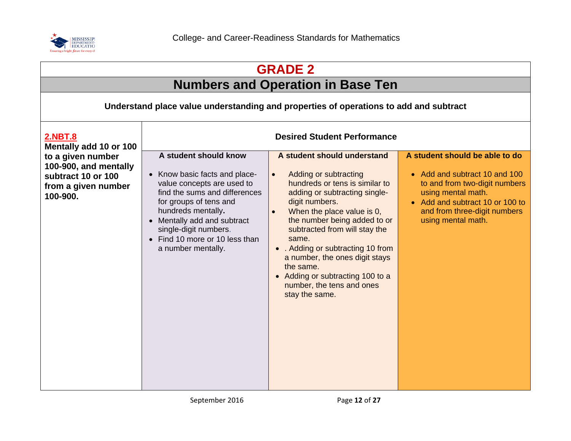

| <b>GRADE 2</b>                                                                                      |                                                                                                                                                                                                                                                                                       |                                                                                                                                                                                                                                                                                                                                                                                                                                                    |                                                                                                                                                                                                                 |  |
|-----------------------------------------------------------------------------------------------------|---------------------------------------------------------------------------------------------------------------------------------------------------------------------------------------------------------------------------------------------------------------------------------------|----------------------------------------------------------------------------------------------------------------------------------------------------------------------------------------------------------------------------------------------------------------------------------------------------------------------------------------------------------------------------------------------------------------------------------------------------|-----------------------------------------------------------------------------------------------------------------------------------------------------------------------------------------------------------------|--|
|                                                                                                     |                                                                                                                                                                                                                                                                                       | <b>Numbers and Operation in Base Ten</b>                                                                                                                                                                                                                                                                                                                                                                                                           |                                                                                                                                                                                                                 |  |
|                                                                                                     | Understand place value understanding and properties of operations to add and subtract                                                                                                                                                                                                 |                                                                                                                                                                                                                                                                                                                                                                                                                                                    |                                                                                                                                                                                                                 |  |
| <u>2.NBT.8</u><br>Mentally add 10 or 100                                                            |                                                                                                                                                                                                                                                                                       | <b>Desired Student Performance</b>                                                                                                                                                                                                                                                                                                                                                                                                                 |                                                                                                                                                                                                                 |  |
| to a given number<br>100-900, and mentally<br>subtract 10 or 100<br>from a given number<br>100-900. | A student should know<br>• Know basic facts and place-<br>value concepts are used to<br>find the sums and differences<br>for groups of tens and<br>hundreds mentally.<br>• Mentally add and subtract<br>single-digit numbers.<br>• Find 10 more or 10 less than<br>a number mentally. | A student should understand<br>Adding or subtracting<br>$\bullet$<br>hundreds or tens is similar to<br>adding or subtracting single-<br>digit numbers.<br>When the place value is 0,<br>$\bullet$<br>the number being added to or<br>subtracted from will stay the<br>same.<br>• . Adding or subtracting 10 from<br>a number, the ones digit stays<br>the same.<br>• Adding or subtracting 100 to a<br>number, the tens and ones<br>stay the same. | A student should be able to do<br>• Add and subtract 10 and 100<br>to and from two-digit numbers<br>using mental math.<br>• Add and subtract 10 or 100 to<br>and from three-digit numbers<br>using mental math. |  |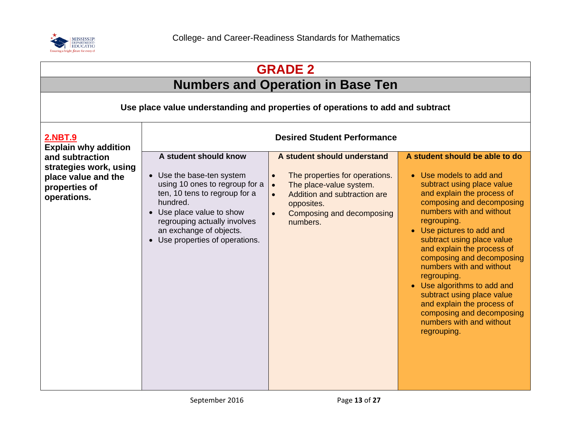

|                                                                                                  |                                                                                                                                                                                                                                                              | <b>GRADE 2</b>                                                                                                                                                                                                                      |                                                                                                                                                                                                                                                                                                                                                                                                                                                                                                                                   |
|--------------------------------------------------------------------------------------------------|--------------------------------------------------------------------------------------------------------------------------------------------------------------------------------------------------------------------------------------------------------------|-------------------------------------------------------------------------------------------------------------------------------------------------------------------------------------------------------------------------------------|-----------------------------------------------------------------------------------------------------------------------------------------------------------------------------------------------------------------------------------------------------------------------------------------------------------------------------------------------------------------------------------------------------------------------------------------------------------------------------------------------------------------------------------|
|                                                                                                  |                                                                                                                                                                                                                                                              | <b>Numbers and Operation in Base Ten</b>                                                                                                                                                                                            |                                                                                                                                                                                                                                                                                                                                                                                                                                                                                                                                   |
|                                                                                                  |                                                                                                                                                                                                                                                              | Use place value understanding and properties of operations to add and subtract                                                                                                                                                      |                                                                                                                                                                                                                                                                                                                                                                                                                                                                                                                                   |
| <b>2.NBT.9</b><br><b>Explain why addition</b>                                                    | <b>Desired Student Performance</b>                                                                                                                                                                                                                           |                                                                                                                                                                                                                                     |                                                                                                                                                                                                                                                                                                                                                                                                                                                                                                                                   |
| and subtraction<br>strategies work, using<br>place value and the<br>properties of<br>operations. | A student should know<br>• Use the base-ten system<br>using 10 ones to regroup for a<br>ten, 10 tens to regroup for a<br>hundred.<br>• Use place value to show<br>regrouping actually involves<br>an exchange of objects.<br>• Use properties of operations. | A student should understand<br>The properties for operations.<br>$\bullet$<br>The place-value system.<br>$\bullet$<br>Addition and subtraction are<br>$\bullet$<br>opposites.<br>Composing and decomposing<br>$\bullet$<br>numbers. | A student should be able to do<br>• Use models to add and<br>subtract using place value<br>and explain the process of<br>composing and decomposing<br>numbers with and without<br>regrouping.<br>• Use pictures to add and<br>subtract using place value<br>and explain the process of<br>composing and decomposing<br>numbers with and without<br>regrouping.<br>• Use algorithms to add and<br>subtract using place value<br>and explain the process of<br>composing and decomposing<br>numbers with and without<br>regrouping. |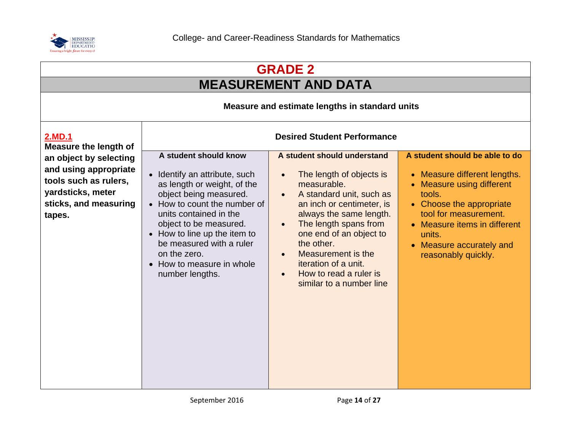

| <b>GRADE 2</b>                                                                                                                   |                                                                                                                                                                                                                                                                                                                                 |                                                                                                                                                                                                                                                                                                                                                                                                   |                                                                                                                                                                                                                                                         |  |
|----------------------------------------------------------------------------------------------------------------------------------|---------------------------------------------------------------------------------------------------------------------------------------------------------------------------------------------------------------------------------------------------------------------------------------------------------------------------------|---------------------------------------------------------------------------------------------------------------------------------------------------------------------------------------------------------------------------------------------------------------------------------------------------------------------------------------------------------------------------------------------------|---------------------------------------------------------------------------------------------------------------------------------------------------------------------------------------------------------------------------------------------------------|--|
|                                                                                                                                  | <b>MEASUREMENT AND DATA</b>                                                                                                                                                                                                                                                                                                     |                                                                                                                                                                                                                                                                                                                                                                                                   |                                                                                                                                                                                                                                                         |  |
|                                                                                                                                  | Measure and estimate lengths in standard units                                                                                                                                                                                                                                                                                  |                                                                                                                                                                                                                                                                                                                                                                                                   |                                                                                                                                                                                                                                                         |  |
| 2.MD.1<br><b>Measure the length of</b>                                                                                           | <b>Desired Student Performance</b>                                                                                                                                                                                                                                                                                              |                                                                                                                                                                                                                                                                                                                                                                                                   |                                                                                                                                                                                                                                                         |  |
| an object by selecting<br>and using appropriate<br>tools such as rulers,<br>yardsticks, meter<br>sticks, and measuring<br>tapes. | A student should know<br>• Identify an attribute, such<br>as length or weight, of the<br>object being measured.<br>• How to count the number of<br>units contained in the<br>object to be measured.<br>• How to line up the item to<br>be measured with a ruler<br>on the zero.<br>• How to measure in whole<br>number lengths. | A student should understand<br>The length of objects is<br>$\bullet$<br>measurable.<br>A standard unit, such as<br>$\bullet$<br>an inch or centimeter, is<br>always the same length.<br>The length spans from<br>$\bullet$<br>one end of an object to<br>the other.<br>Measurement is the<br>$\bullet$<br>iteration of a unit.<br>How to read a ruler is<br>$\bullet$<br>similar to a number line | A student should be able to do<br>• Measure different lengths.<br>• Measure using different<br>tools.<br>• Choose the appropriate<br>tool for measurement.<br>• Measure items in different<br>units.<br>• Measure accurately and<br>reasonably quickly. |  |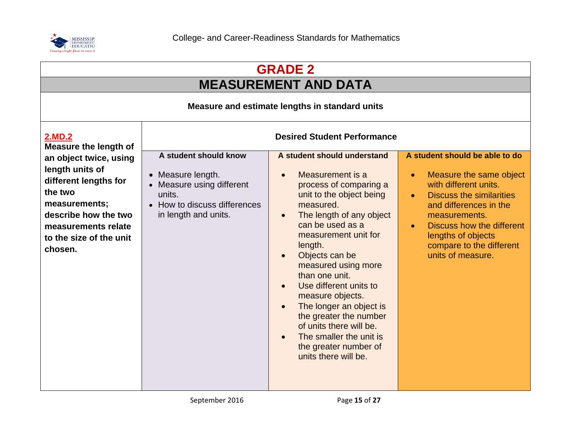

| <b>GRADE 2</b>                                                                                                                                                                      |                                                                                                                                           |                                                                                                                                                                                                                                                                                                                                                                                                                                                                                                                                                          |                                                                                                                                                                                                                                                                                                |  |
|-------------------------------------------------------------------------------------------------------------------------------------------------------------------------------------|-------------------------------------------------------------------------------------------------------------------------------------------|----------------------------------------------------------------------------------------------------------------------------------------------------------------------------------------------------------------------------------------------------------------------------------------------------------------------------------------------------------------------------------------------------------------------------------------------------------------------------------------------------------------------------------------------------------|------------------------------------------------------------------------------------------------------------------------------------------------------------------------------------------------------------------------------------------------------------------------------------------------|--|
| <b>MEASUREMENT AND DATA</b>                                                                                                                                                         |                                                                                                                                           |                                                                                                                                                                                                                                                                                                                                                                                                                                                                                                                                                          |                                                                                                                                                                                                                                                                                                |  |
|                                                                                                                                                                                     | Measure and estimate lengths in standard units                                                                                            |                                                                                                                                                                                                                                                                                                                                                                                                                                                                                                                                                          |                                                                                                                                                                                                                                                                                                |  |
| 2.MD.2<br>Measure the length of                                                                                                                                                     |                                                                                                                                           | <b>Desired Student Performance</b>                                                                                                                                                                                                                                                                                                                                                                                                                                                                                                                       |                                                                                                                                                                                                                                                                                                |  |
| an object twice, using<br>length units of<br>different lengths for<br>the two<br>measurements;<br>describe how the two<br>measurements relate<br>to the size of the unit<br>chosen. | A student should know<br>• Measure length.<br>• Measure using different<br>units.<br>• How to discuss differences<br>in length and units. | A student should understand<br>Measurement is a<br>$\bullet$<br>process of comparing a<br>unit to the object being<br>measured.<br>The length of any object<br>$\bullet$<br>can be used as a<br>measurement unit for<br>length.<br>Objects can be<br>$\bullet$<br>measured using more<br>than one unit.<br>Use different units to<br>$\bullet$<br>measure objects.<br>The longer an object is<br>$\bullet$<br>the greater the number<br>of units there will be.<br>The smaller the unit is<br>$\bullet$<br>the greater number of<br>units there will be. | A student should be able to do<br>Measure the same object<br>$\bullet$<br>with different units.<br><b>Discuss the similarities</b><br>and differences in the<br>measurements.<br>Discuss how the different<br>$\bullet$<br>lengths of objects<br>compare to the different<br>units of measure. |  |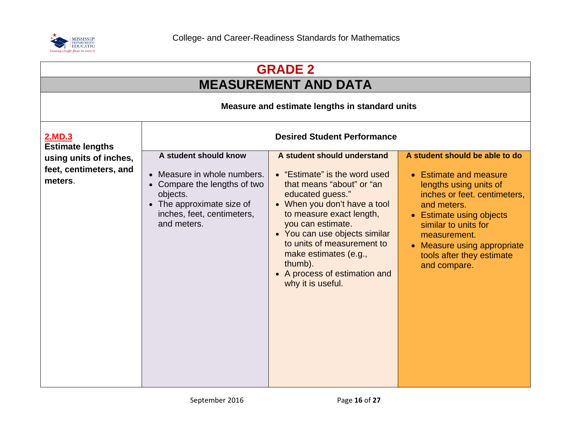

| <b>GRADE 2</b>                                              |                                                                                                                                                                            |                                                                                                                                                                                                                                                                                                                                                         |                                                                                                                                                                                                                                                                                   |
|-------------------------------------------------------------|----------------------------------------------------------------------------------------------------------------------------------------------------------------------------|---------------------------------------------------------------------------------------------------------------------------------------------------------------------------------------------------------------------------------------------------------------------------------------------------------------------------------------------------------|-----------------------------------------------------------------------------------------------------------------------------------------------------------------------------------------------------------------------------------------------------------------------------------|
|                                                             |                                                                                                                                                                            | <b>MEASUREMENT AND DATA</b>                                                                                                                                                                                                                                                                                                                             |                                                                                                                                                                                                                                                                                   |
|                                                             |                                                                                                                                                                            | Measure and estimate lengths in standard units                                                                                                                                                                                                                                                                                                          |                                                                                                                                                                                                                                                                                   |
| 2.MD.3<br><b>Estimate lengths</b>                           | <b>Desired Student Performance</b>                                                                                                                                         |                                                                                                                                                                                                                                                                                                                                                         |                                                                                                                                                                                                                                                                                   |
| using units of inches,<br>feet, centimeters, and<br>meters. | A student should know<br>• Measure in whole numbers.<br>• Compare the lengths of two<br>objects.<br>• The approximate size of<br>inches, feet, centimeters,<br>and meters. | A student should understand<br>• "Estimate" is the word used<br>that means "about" or "an<br>educated guess."<br>• When you don't have a tool<br>to measure exact length,<br>you can estimate.<br>• You can use objects similar<br>to units of measurement to<br>make estimates (e.g.,<br>thumb).<br>• A process of estimation and<br>why it is useful. | A student should be able to do<br>• Estimate and measure<br>lengths using units of<br>inches or feet. centimeters,<br>and meters.<br>• Estimate using objects<br>similar to units for<br>measurement.<br>• Measure using appropriate<br>tools after they estimate<br>and compare. |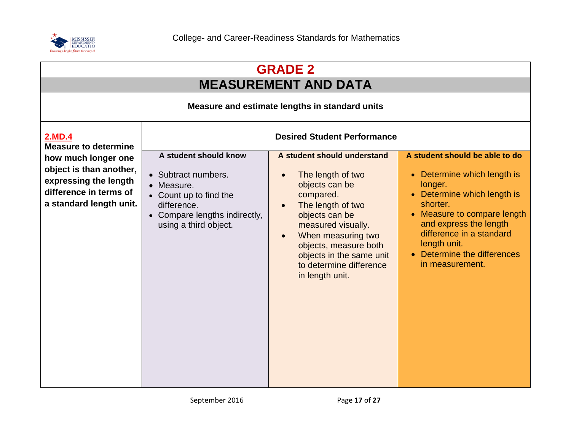

| <b>GRADE 2</b><br><b>MEASUREMENT AND DATA</b>                                                                                |                                                                                                                                                               |                                                                                                                                                                                                                                                                                    |                                                                                                                                                                                                                                                                                   |
|------------------------------------------------------------------------------------------------------------------------------|---------------------------------------------------------------------------------------------------------------------------------------------------------------|------------------------------------------------------------------------------------------------------------------------------------------------------------------------------------------------------------------------------------------------------------------------------------|-----------------------------------------------------------------------------------------------------------------------------------------------------------------------------------------------------------------------------------------------------------------------------------|
| Measure and estimate lengths in standard units                                                                               |                                                                                                                                                               |                                                                                                                                                                                                                                                                                    |                                                                                                                                                                                                                                                                                   |
| 2.MD.4<br><b>Measure to determine</b>                                                                                        | <b>Desired Student Performance</b>                                                                                                                            |                                                                                                                                                                                                                                                                                    |                                                                                                                                                                                                                                                                                   |
| how much longer one<br>object is than another,<br>expressing the length<br>difference in terms of<br>a standard length unit. | A student should know<br>• Subtract numbers.<br>• Measure.<br>• Count up to find the<br>difference.<br>• Compare lengths indirectly,<br>using a third object. | A student should understand<br>The length of two<br>objects can be<br>compared.<br>The length of two<br>objects can be<br>measured visually.<br>When measuring two<br>$\bullet$<br>objects, measure both<br>objects in the same unit<br>to determine difference<br>in length unit. | A student should be able to do<br>• Determine which length is<br>longer.<br>Determine which length is<br>shorter.<br>Measure to compare length<br>$\bullet$<br>and express the length<br>difference in a standard<br>length unit.<br>Determine the differences<br>in measurement. |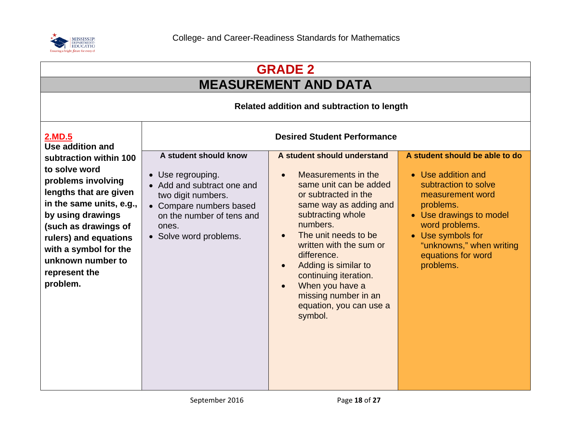

| <b>GRADE 2</b><br><b>MEASUREMENT AND DATA</b>                                                                                                                                                                                                                        |                                                                                                                                                                                           |                                                                                                                                                                                                                                                                                                                                                                                                                         |                                                                                                                                                                                                                                                |
|----------------------------------------------------------------------------------------------------------------------------------------------------------------------------------------------------------------------------------------------------------------------|-------------------------------------------------------------------------------------------------------------------------------------------------------------------------------------------|-------------------------------------------------------------------------------------------------------------------------------------------------------------------------------------------------------------------------------------------------------------------------------------------------------------------------------------------------------------------------------------------------------------------------|------------------------------------------------------------------------------------------------------------------------------------------------------------------------------------------------------------------------------------------------|
|                                                                                                                                                                                                                                                                      |                                                                                                                                                                                           |                                                                                                                                                                                                                                                                                                                                                                                                                         |                                                                                                                                                                                                                                                |
| <b>2.MD.5</b><br>Use addition and                                                                                                                                                                                                                                    |                                                                                                                                                                                           | <b>Desired Student Performance</b>                                                                                                                                                                                                                                                                                                                                                                                      |                                                                                                                                                                                                                                                |
| subtraction within 100<br>to solve word<br>problems involving<br>lengths that are given<br>in the same units, e.g.,<br>by using drawings<br>(such as drawings of<br>rulers) and equations<br>with a symbol for the<br>unknown number to<br>represent the<br>problem. | A student should know<br>• Use regrouping.<br>• Add and subtract one and<br>two digit numbers.<br>• Compare numbers based<br>on the number of tens and<br>ones.<br>• Solve word problems. | A student should understand<br>Measurements in the<br>$\bullet$<br>same unit can be added<br>or subtracted in the<br>same way as adding and<br>subtracting whole<br>numbers.<br>The unit needs to be<br>$\bullet$<br>written with the sum or<br>difference.<br>Adding is similar to<br>$\bullet$<br>continuing iteration.<br>When you have a<br>$\bullet$<br>missing number in an<br>equation, you can use a<br>symbol. | A student should be able to do<br>• Use addition and<br>subtraction to solve<br>measurement word<br>problems.<br>• Use drawings to model<br>word problems.<br>• Use symbols for<br>"unknowns," when writing<br>equations for word<br>problems. |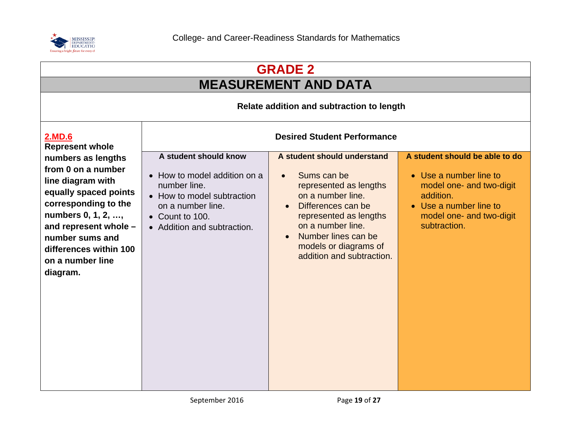

| <b>GRADE 2</b>                                                                                                                                                                                                                             |                                                                                                                                                                            |                                                                                                                                                                                                                                                          |                                                                                                                                                                         |  |
|--------------------------------------------------------------------------------------------------------------------------------------------------------------------------------------------------------------------------------------------|----------------------------------------------------------------------------------------------------------------------------------------------------------------------------|----------------------------------------------------------------------------------------------------------------------------------------------------------------------------------------------------------------------------------------------------------|-------------------------------------------------------------------------------------------------------------------------------------------------------------------------|--|
|                                                                                                                                                                                                                                            | <b>MEASUREMENT AND DATA</b>                                                                                                                                                |                                                                                                                                                                                                                                                          |                                                                                                                                                                         |  |
|                                                                                                                                                                                                                                            |                                                                                                                                                                            | Relate addition and subtraction to length                                                                                                                                                                                                                |                                                                                                                                                                         |  |
| 2.MD.6<br><b>Represent whole</b>                                                                                                                                                                                                           |                                                                                                                                                                            | <b>Desired Student Performance</b>                                                                                                                                                                                                                       |                                                                                                                                                                         |  |
| numbers as lengths<br>from 0 on a number<br>line diagram with<br>equally spaced points<br>corresponding to the<br>numbers 0, 1, 2, ,<br>and represent whole -<br>number sums and<br>differences within 100<br>on a number line<br>diagram. | A student should know<br>• How to model addition on a<br>number line.<br>• How to model subtraction<br>on a number line.<br>• Count to 100.<br>• Addition and subtraction. | A student should understand<br>Sums can be<br>represented as lengths<br>on a number line.<br>Differences can be<br>$\bullet$<br>represented as lengths<br>on a number line.<br>Number lines can be<br>models or diagrams of<br>addition and subtraction. | A student should be able to do<br>• Use a number line to<br>model one- and two-digit<br>addition.<br>• Use a number line to<br>model one- and two-digit<br>subtraction. |  |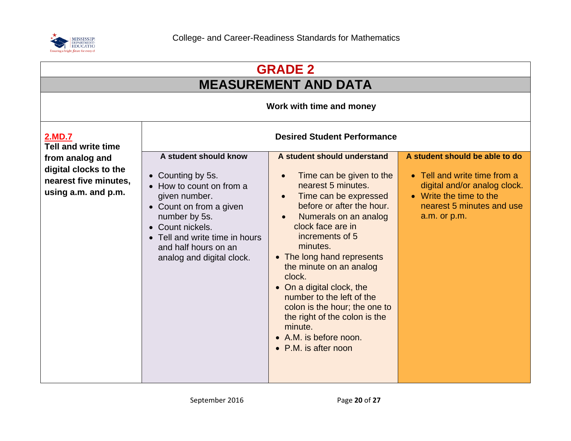

| <b>GRADE 2</b><br><b>MEASUREMENT AND DATA</b>                                            |                                                                                                                                                                                                                                                |                                                                                                                                                                                                                                                                                                                                                                                                                                                                              |                                                                                                                                                                        |  |  |
|------------------------------------------------------------------------------------------|------------------------------------------------------------------------------------------------------------------------------------------------------------------------------------------------------------------------------------------------|------------------------------------------------------------------------------------------------------------------------------------------------------------------------------------------------------------------------------------------------------------------------------------------------------------------------------------------------------------------------------------------------------------------------------------------------------------------------------|------------------------------------------------------------------------------------------------------------------------------------------------------------------------|--|--|
|                                                                                          | Work with time and money                                                                                                                                                                                                                       |                                                                                                                                                                                                                                                                                                                                                                                                                                                                              |                                                                                                                                                                        |  |  |
| <b>2.MD.7</b><br><b>Tell and write time</b>                                              | <b>Desired Student Performance</b>                                                                                                                                                                                                             |                                                                                                                                                                                                                                                                                                                                                                                                                                                                              |                                                                                                                                                                        |  |  |
| from analog and<br>digital clocks to the<br>nearest five minutes,<br>using a.m. and p.m. | A student should know<br>• Counting by 5s.<br>• How to count on from a<br>given number.<br>• Count on from a given<br>number by 5s.<br>• Count nickels.<br>• Tell and write time in hours<br>and half hours on an<br>analog and digital clock. | A student should understand<br>Time can be given to the<br>nearest 5 minutes.<br>Time can be expressed<br>before or after the hour.<br>Numerals on an analog<br>clock face are in<br>increments of 5<br>minutes.<br>• The long hand represents<br>the minute on an analog<br>clock.<br>• On a digital clock, the<br>number to the left of the<br>colon is the hour; the one to<br>the right of the colon is the<br>minute.<br>• A.M. is before noon.<br>• P.M. is after noon | A student should be able to do<br>• Tell and write time from a<br>digital and/or analog clock.<br>• Write the time to the<br>nearest 5 minutes and use<br>a.m. or p.m. |  |  |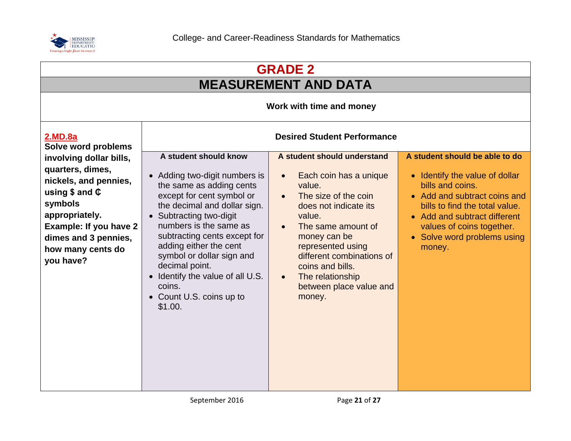

| <b>GRADE 2</b><br><b>MEASUREMENT AND DATA</b>                                                                                                                                                              |                                                                                                                                                                                                                                                                                                                                                                                                    |                                                                                                                                                                                                                                                                                                                                        |                                                                                                                                                                                                                                                              |                          |
|------------------------------------------------------------------------------------------------------------------------------------------------------------------------------------------------------------|----------------------------------------------------------------------------------------------------------------------------------------------------------------------------------------------------------------------------------------------------------------------------------------------------------------------------------------------------------------------------------------------------|----------------------------------------------------------------------------------------------------------------------------------------------------------------------------------------------------------------------------------------------------------------------------------------------------------------------------------------|--------------------------------------------------------------------------------------------------------------------------------------------------------------------------------------------------------------------------------------------------------------|--------------------------|
|                                                                                                                                                                                                            |                                                                                                                                                                                                                                                                                                                                                                                                    |                                                                                                                                                                                                                                                                                                                                        |                                                                                                                                                                                                                                                              | Work with time and money |
| 2.MD.8a<br>Solve word problems                                                                                                                                                                             |                                                                                                                                                                                                                                                                                                                                                                                                    | <b>Desired Student Performance</b>                                                                                                                                                                                                                                                                                                     |                                                                                                                                                                                                                                                              |                          |
| involving dollar bills,<br>quarters, dimes,<br>nickels, and pennies,<br>using $$$ and $$$<br>symbols<br>appropriately.<br>Example: If you have 2<br>dimes and 3 pennies,<br>how many cents do<br>you have? | A student should know<br>• Adding two-digit numbers is<br>the same as adding cents<br>except for cent symbol or<br>the decimal and dollar sign.<br>• Subtracting two-digit<br>numbers is the same as<br>subtracting cents except for<br>adding either the cent<br>symbol or dollar sign and<br>decimal point.<br>• Identify the value of all U.S.<br>coins.<br>• Count U.S. coins up to<br>\$1.00. | A student should understand<br>Each coin has a unique<br>$\bullet$<br>value.<br>The size of the coin<br>$\bullet$<br>does not indicate its<br>value.<br>The same amount of<br>money can be<br>represented using<br>different combinations of<br>coins and bills.<br>The relationship<br>$\bullet$<br>between place value and<br>money. | A student should be able to do<br>• Identify the value of dollar<br>bills and coins.<br>• Add and subtract coins and<br>bills to find the total value.<br>• Add and subtract different<br>values of coins together.<br>• Solve word problems using<br>money. |                          |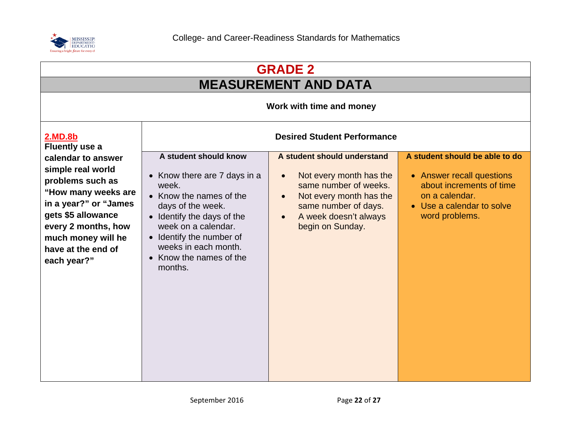

| <b>GRADE 2</b>                                                                                                                                                                                                      |                                                                                                                                                                                                                                                         |                                                                                                                                                                                                                        |                                                                                                                                                          |  |
|---------------------------------------------------------------------------------------------------------------------------------------------------------------------------------------------------------------------|---------------------------------------------------------------------------------------------------------------------------------------------------------------------------------------------------------------------------------------------------------|------------------------------------------------------------------------------------------------------------------------------------------------------------------------------------------------------------------------|----------------------------------------------------------------------------------------------------------------------------------------------------------|--|
|                                                                                                                                                                                                                     | <b>MEASUREMENT AND DATA</b>                                                                                                                                                                                                                             |                                                                                                                                                                                                                        |                                                                                                                                                          |  |
|                                                                                                                                                                                                                     |                                                                                                                                                                                                                                                         | Work with time and money                                                                                                                                                                                               |                                                                                                                                                          |  |
| <b>2.MD.8b</b><br><b>Fluently use a</b>                                                                                                                                                                             |                                                                                                                                                                                                                                                         | <b>Desired Student Performance</b>                                                                                                                                                                                     |                                                                                                                                                          |  |
| calendar to answer<br>simple real world<br>problems such as<br>"How many weeks are<br>in a year?" or "James<br>gets \$5 allowance<br>every 2 months, how<br>much money will he<br>have at the end of<br>each year?" | A student should know<br>Know there are 7 days in a<br>week.<br>• Know the names of the<br>days of the week.<br>Identify the days of the<br>week on a calendar.<br>• Identify the number of<br>weeks in each month.<br>Know the names of the<br>months. | A student should understand<br>Not every month has the<br>$\bullet$<br>same number of weeks.<br>Not every month has the<br>$\bullet$<br>same number of days.<br>A week doesn't always<br>$\bullet$<br>begin on Sunday. | A student should be able to do<br>• Answer recall questions<br>about increments of time<br>on a calendar.<br>• Use a calendar to solve<br>word problems. |  |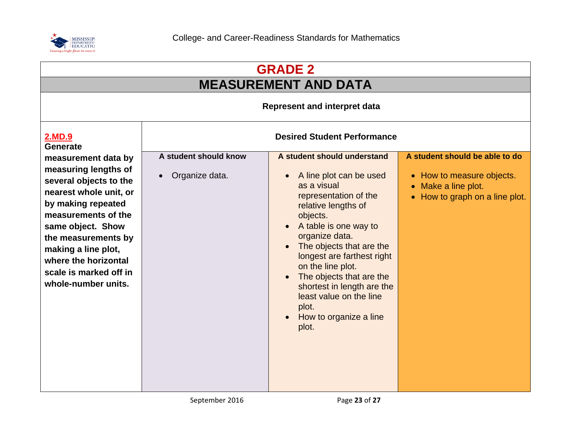

| <b>GRADE 2</b>                                                                                                                                                                                                                                                    |                             |                                                                                                                                                                                                                                                                                                                                                               |                                                                                                          |
|-------------------------------------------------------------------------------------------------------------------------------------------------------------------------------------------------------------------------------------------------------------------|-----------------------------|---------------------------------------------------------------------------------------------------------------------------------------------------------------------------------------------------------------------------------------------------------------------------------------------------------------------------------------------------------------|----------------------------------------------------------------------------------------------------------|
|                                                                                                                                                                                                                                                                   |                             | <b>MEASUREMENT AND DATA</b>                                                                                                                                                                                                                                                                                                                                   |                                                                                                          |
|                                                                                                                                                                                                                                                                   |                             | <b>Represent and interpret data</b>                                                                                                                                                                                                                                                                                                                           |                                                                                                          |
| 2.MD.9<br><b>Generate</b>                                                                                                                                                                                                                                         |                             | <b>Desired Student Performance</b>                                                                                                                                                                                                                                                                                                                            |                                                                                                          |
| measurement data by                                                                                                                                                                                                                                               | A student should know       | A student should understand                                                                                                                                                                                                                                                                                                                                   | A student should be able to do                                                                           |
| measuring lengths of<br>several objects to the<br>nearest whole unit, or<br>by making repeated<br>measurements of the<br>same object. Show<br>the measurements by<br>making a line plot,<br>where the horizontal<br>scale is marked off in<br>whole-number units. | Organize data.<br>$\bullet$ | A line plot can be used<br>as a visual<br>representation of the<br>relative lengths of<br>objects.<br>A table is one way to<br>organize data.<br>The objects that are the<br>longest are farthest right<br>on the line plot.<br>The objects that are the<br>shortest in length are the<br>least value on the line<br>plot.<br>How to organize a line<br>plot. | • How to measure objects.<br>Make a line plot.<br>$\bullet$<br>How to graph on a line plot.<br>$\bullet$ |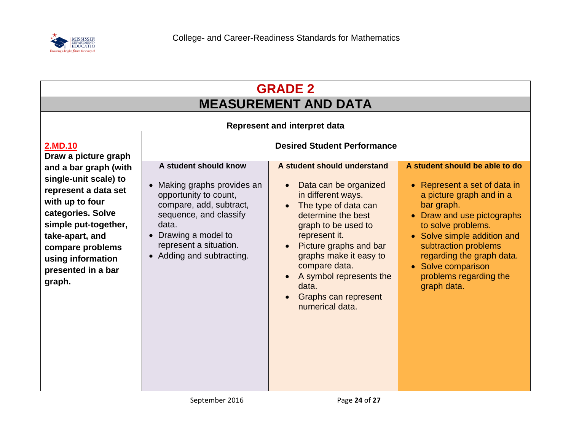

| <b>GRADE 2</b><br><b>MEASUREMENT AND DATA</b>                                                                                                                                                                                                              |                                                                                                                                                                                                                            |                                                                                                                                                                                                                                                                                                                                                                          |                                                                                                                                                                                                                                                                                                                          |
|------------------------------------------------------------------------------------------------------------------------------------------------------------------------------------------------------------------------------------------------------------|----------------------------------------------------------------------------------------------------------------------------------------------------------------------------------------------------------------------------|--------------------------------------------------------------------------------------------------------------------------------------------------------------------------------------------------------------------------------------------------------------------------------------------------------------------------------------------------------------------------|--------------------------------------------------------------------------------------------------------------------------------------------------------------------------------------------------------------------------------------------------------------------------------------------------------------------------|
| <b>2.MD.10</b>                                                                                                                                                                                                                                             |                                                                                                                                                                                                                            | <b>Represent and interpret data</b><br><b>Desired Student Performance</b>                                                                                                                                                                                                                                                                                                |                                                                                                                                                                                                                                                                                                                          |
| Draw a picture graph<br>and a bar graph (with<br>single-unit scale) to<br>represent a data set<br>with up to four<br>categories. Solve<br>simple put-together,<br>take-apart, and<br>compare problems<br>using information<br>presented in a bar<br>graph. | A student should know<br>• Making graphs provides an<br>opportunity to count,<br>compare, add, subtract,<br>sequence, and classify<br>data.<br>• Drawing a model to<br>represent a situation.<br>• Adding and subtracting. | A student should understand<br>Data can be organized<br>$\bullet$<br>in different ways.<br>The type of data can<br>$\bullet$<br>determine the best<br>graph to be used to<br>represent it.<br>Picture graphs and bar<br>graphs make it easy to<br>compare data.<br>A symbol represents the<br>$\bullet$<br>data.<br>Graphs can represent<br>$\bullet$<br>numerical data. | A student should be able to do<br>Represent a set of data in<br>$\bullet$<br>a picture graph and in a<br>bar graph.<br>Draw and use pictographs<br>to solve problems.<br>• Solve simple addition and<br>subtraction problems<br>regarding the graph data.<br>• Solve comparison<br>problems regarding the<br>graph data. |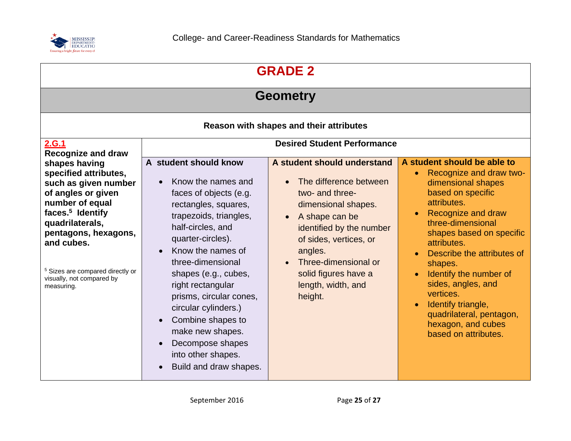

| <b>GRADE 2</b>                                                                                                                                                                                                                                                                             |                                                                                                                                                                                                                                                                                                                                                                                                                                                    |                                                                                                                                                                                                                                                                                  |                                                                                                                                                                                                                                                                                                                                                                                                                                        |  |  |  |  |
|--------------------------------------------------------------------------------------------------------------------------------------------------------------------------------------------------------------------------------------------------------------------------------------------|----------------------------------------------------------------------------------------------------------------------------------------------------------------------------------------------------------------------------------------------------------------------------------------------------------------------------------------------------------------------------------------------------------------------------------------------------|----------------------------------------------------------------------------------------------------------------------------------------------------------------------------------------------------------------------------------------------------------------------------------|----------------------------------------------------------------------------------------------------------------------------------------------------------------------------------------------------------------------------------------------------------------------------------------------------------------------------------------------------------------------------------------------------------------------------------------|--|--|--|--|
| <b>Geometry</b>                                                                                                                                                                                                                                                                            |                                                                                                                                                                                                                                                                                                                                                                                                                                                    |                                                                                                                                                                                                                                                                                  |                                                                                                                                                                                                                                                                                                                                                                                                                                        |  |  |  |  |
| Reason with shapes and their attributes                                                                                                                                                                                                                                                    |                                                                                                                                                                                                                                                                                                                                                                                                                                                    |                                                                                                                                                                                                                                                                                  |                                                                                                                                                                                                                                                                                                                                                                                                                                        |  |  |  |  |
| 2.G.1<br><b>Recognize and draw</b>                                                                                                                                                                                                                                                         | <b>Desired Student Performance</b>                                                                                                                                                                                                                                                                                                                                                                                                                 |                                                                                                                                                                                                                                                                                  |                                                                                                                                                                                                                                                                                                                                                                                                                                        |  |  |  |  |
| shapes having<br>specified attributes,<br>such as given number<br>of angles or given<br>number of equal<br>faces. <sup>5</sup> Identify<br>quadrilaterals,<br>pentagons, hexagons,<br>and cubes.<br><sup>5</sup> Sizes are compared directly or<br>visually, not compared by<br>measuring. | A student should know<br>Know the names and<br>$\bullet$<br>faces of objects (e.g.<br>rectangles, squares,<br>trapezoids, triangles,<br>half-circles, and<br>quarter-circles).<br>Know the names of<br>three-dimensional<br>shapes (e.g., cubes,<br>right rectangular<br>prisms, circular cones,<br>circular cylinders.)<br>Combine shapes to<br>make new shapes.<br>Decompose shapes<br>$\bullet$<br>into other shapes.<br>Build and draw shapes. | A student should understand<br>The difference between<br>two- and three-<br>dimensional shapes.<br>A shape can be<br>$\bullet$<br>identified by the number<br>of sides, vertices, or<br>angles.<br>Three-dimensional or<br>solid figures have a<br>length, width, and<br>height. | A student should be able to<br>Recognize and draw two-<br>$\bullet$<br>dimensional shapes<br>based on specific<br>attributes.<br>Recognize and draw<br>three-dimensional<br>shapes based on specific<br>attributes.<br>Describe the attributes of<br>shapes.<br>Identify the number of<br>sides, angles, and<br>vertices.<br>Identify triangle,<br>$\bullet$<br>quadrilateral, pentagon,<br>hexagon, and cubes<br>based on attributes. |  |  |  |  |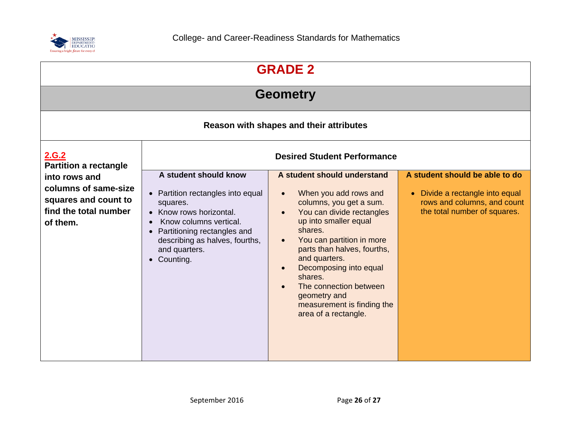

| <b>GRADE 2</b>                                                                                     |                                                                                                                                                                                                                              |                                                                                                                                                                                                                                                                                                                                                                                 |                                                                                                                                             |  |  |  |
|----------------------------------------------------------------------------------------------------|------------------------------------------------------------------------------------------------------------------------------------------------------------------------------------------------------------------------------|---------------------------------------------------------------------------------------------------------------------------------------------------------------------------------------------------------------------------------------------------------------------------------------------------------------------------------------------------------------------------------|---------------------------------------------------------------------------------------------------------------------------------------------|--|--|--|
| <b>Geometry</b>                                                                                    |                                                                                                                                                                                                                              |                                                                                                                                                                                                                                                                                                                                                                                 |                                                                                                                                             |  |  |  |
| Reason with shapes and their attributes                                                            |                                                                                                                                                                                                                              |                                                                                                                                                                                                                                                                                                                                                                                 |                                                                                                                                             |  |  |  |
| <u>2.G.2</u><br><b>Partition a rectangle</b>                                                       | <b>Desired Student Performance</b>                                                                                                                                                                                           |                                                                                                                                                                                                                                                                                                                                                                                 |                                                                                                                                             |  |  |  |
| into rows and<br>columns of same-size<br>squares and count to<br>find the total number<br>of them. | A student should know<br>• Partition rectangles into equal<br>squares.<br>• Know rows horizontal.<br>Know columns vertical.<br>Partitioning rectangles and<br>describing as halves, fourths,<br>and quarters.<br>• Counting. | A student should understand<br>When you add rows and<br>columns, you get a sum.<br>You can divide rectangles<br>up into smaller equal<br>shares.<br>You can partition in more<br>parts than halves, fourths,<br>and quarters.<br>Decomposing into equal<br>$\bullet$<br>shares.<br>The connection between<br>geometry and<br>measurement is finding the<br>area of a rectangle. | A student should be able to do<br>Divide a rectangle into equal<br>$\bullet$<br>rows and columns, and count<br>the total number of squares. |  |  |  |